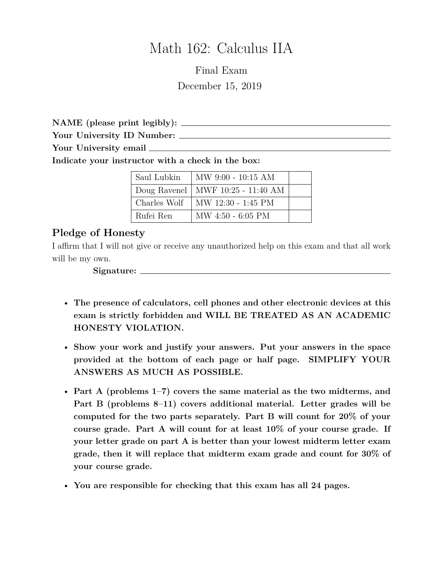# Math 162: Calculus IIA

Final Exam December 15, 2019

**NAME (please print legibly):**

**Your University ID Number:**

**Your University email**

**Indicate your instructor with a check in the box:**

| Saul Lubkin  | MW 9:00 - 10:15 AM                  |  |
|--------------|-------------------------------------|--|
|              | Doug Ravenel   MWF 10:25 - 11:40 AM |  |
| Charles Wolf | MW 12:30 - 1:45 PM                  |  |
| Rufei Ren    | MW 4:50 - 6:05 PM                   |  |

#### **Pledge of Honesty**

I affirm that I will not give or receive any unauthorized help on this exam and that all work will be my own.

**Signature:**

- **The presence of calculators, cell phones and other electronic devices at this exam is strictly forbidden and WILL BE TREATED AS AN ACADEMIC HONESTY VIOLATION.**
- **Show your work and justify your answers. Put your answers in the space provided at the bottom of each page or half page. SIMPLIFY YOUR ANSWERS AS MUCH AS POSSIBLE.**
- **Part A (problems 1–7) covers the same material as the two midterms, and Part B (problems 8–11) covers additional material. Letter grades will be computed for the two parts separately. Part B will count for 20% of your course grade. Part A will count for at least 10% of your course grade. If your letter grade on part A is better than your lowest midterm letter exam grade, then it will replace that midterm exam grade and count for 30% of your course grade.**
- **You are responsible for checking that this exam has all 24 pages.**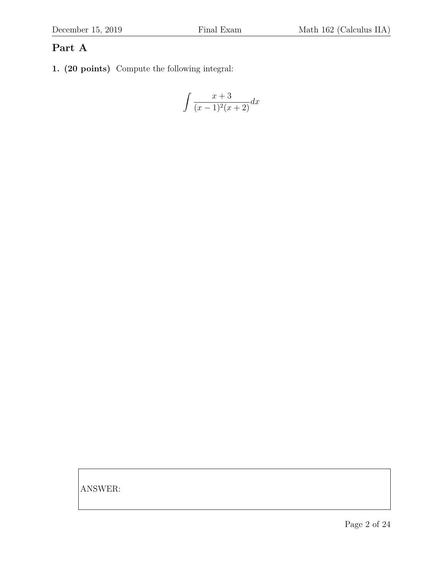### **Part A**

**1. (20 points)** Compute the following integral:

$$
\int \frac{x+3}{(x-1)^2(x+2)} dx
$$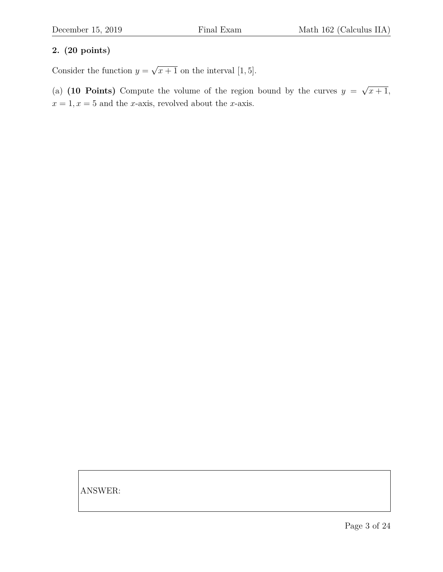Consider the function  $y =$ √  $x+1$  on the interval [1, 5].

(a)  $(10 \text{ Points})$  Compute the volume of the region bound by the curves  $y =$ √  $x+1,$  $x = 1, x = 5$  and the x-axis, revolved about the x-axis.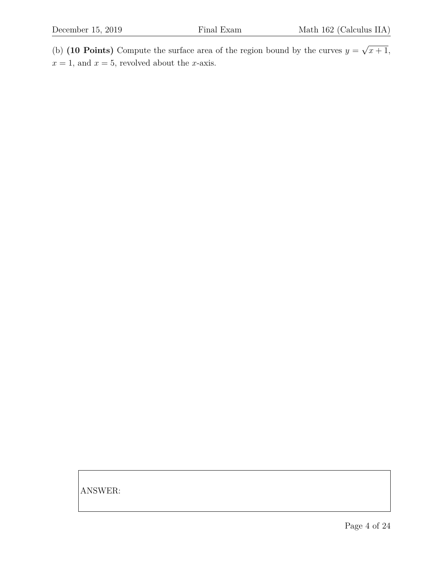(b) **(10 Points)** Compute the surface area of the region bound by the curves  $y =$ √  $x+1,$  $x = 1$ , and  $x = 5$ , revolved about the *x*-axis.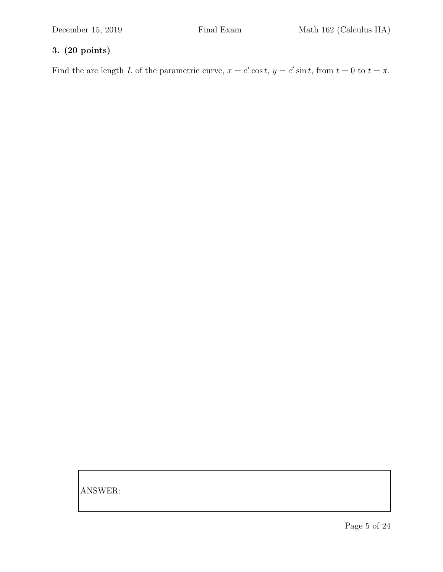Find the arc length L of the parametric curve,  $x = e^t \cos t$ ,  $y = e^t \sin t$ , from  $t = 0$  to  $t = \pi$ .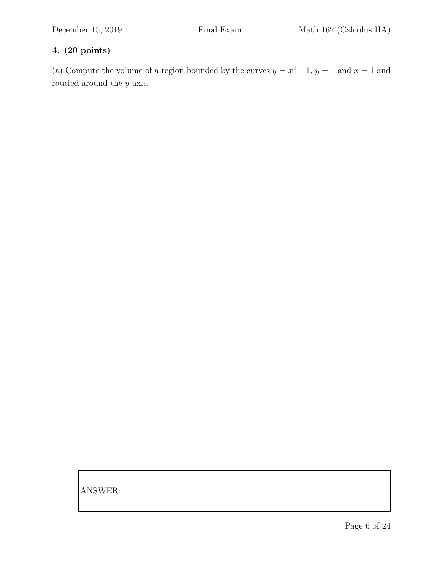(a) Compute the volume of a region bounded by the curves  $y = x^4 + 1$ ,  $y = 1$  and  $x = 1$  and rotated around the y-axis.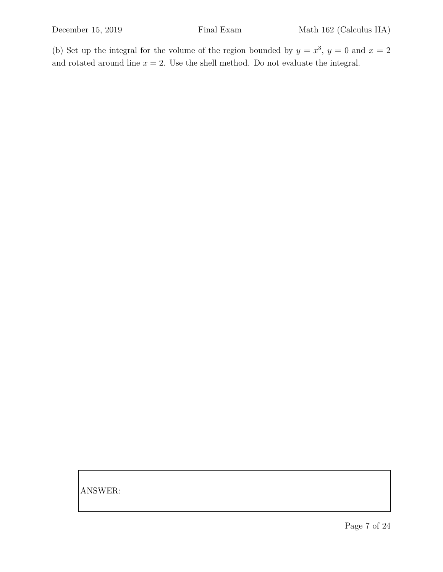(b) Set up the integral for the volume of the region bounded by  $y = x^3$ ,  $y = 0$  and  $x = 2$ and rotated around line  $x = 2$ . Use the shell method. Do not evaluate the integral.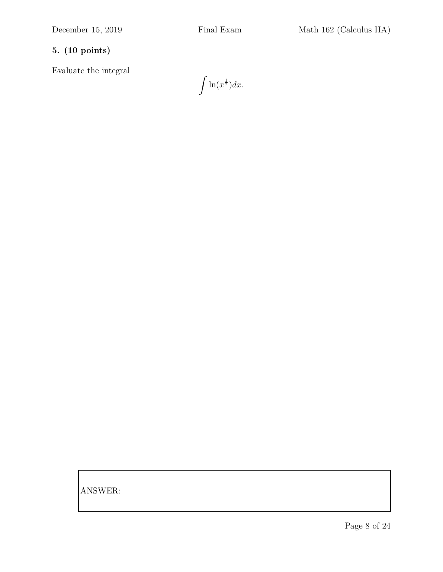Evaluate the integral

 $\int \ln(x^{\frac{1}{2}}) dx.$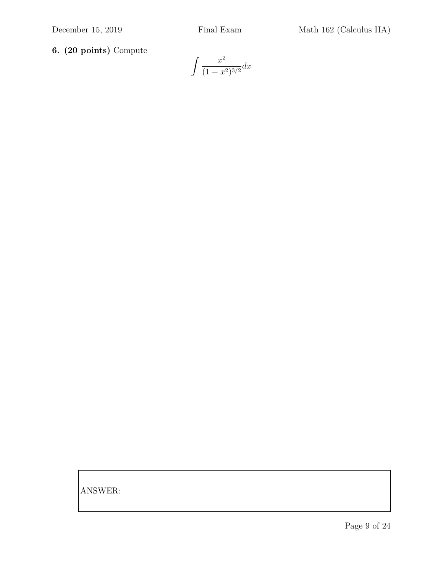**6. (20 points)** Compute

$$
\int \frac{x^2}{(1-x^2)^{3/2}} dx
$$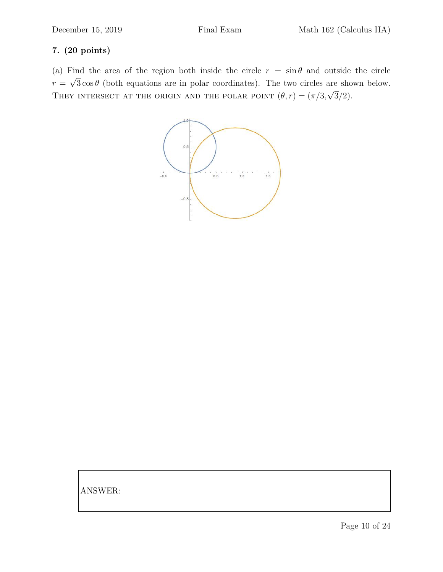(a) Find the area of the region both inside the circle  $r = \sin \theta$  and outside the circle  $r =$ √  $3 \cos \theta$  (both equations are in polar coordinates). The two circles are shown below. THEY INTERSECT AT THE ORIGIN AND THE POLAR POINT  $(\theta, r) = (\pi/3, \sqrt{3}/2)$ .

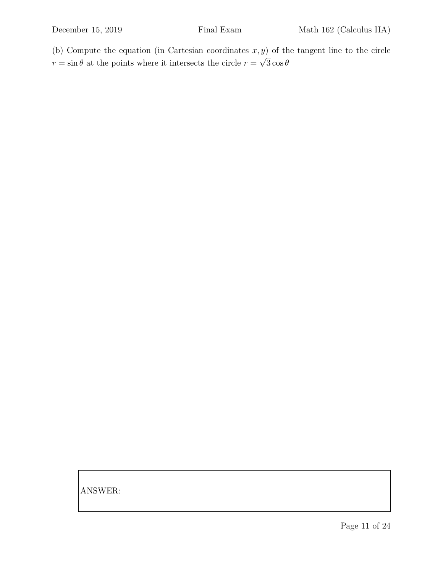(b) Compute the equation (in Cartesian coordinates  $x, y$ ) of the tangent line to the circle  $r = \sin \theta$  at the points where it intersects the circle  $r =$ √  $3\cos\theta$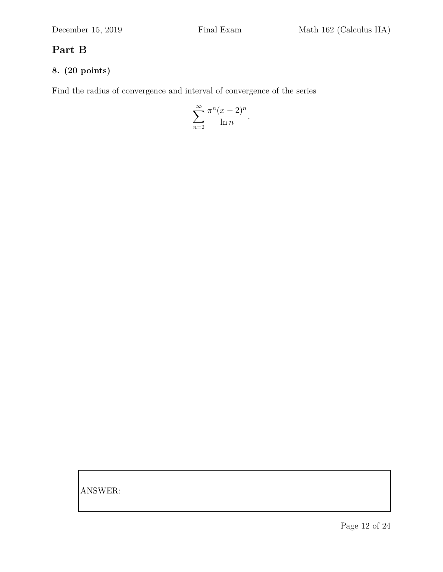## **Part B**

### **8. (20 points)**

Find the radius of convergence and interval of convergence of the series

$$
\sum_{n=2}^{\infty} \frac{\pi^n (x-2)^n}{\ln n}.
$$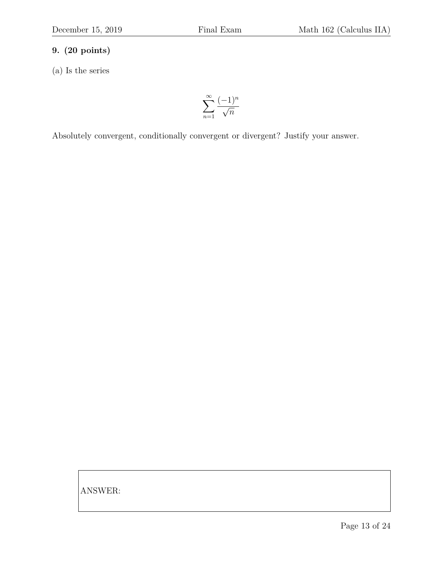(a) Is the series

$$
\sum_{n=1}^{\infty} \frac{(-1)^n}{\sqrt{n}}
$$

Absolutely convergent, conditionally convergent or divergent? Justify your answer.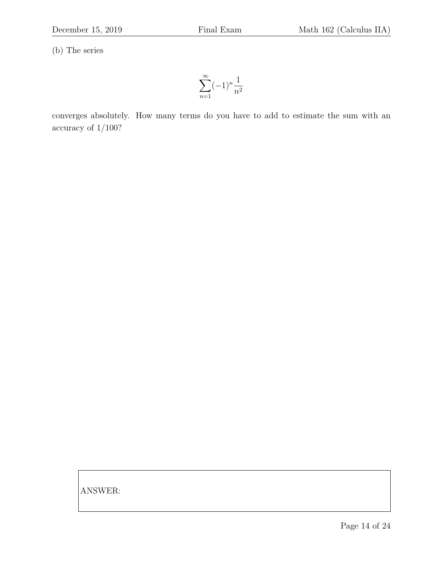(b) The series

$$
\sum_{n=1}^{\infty} (-1)^n \frac{1}{n^2}
$$

converges absolutely. How many terms do you have to add to estimate the sum with an accuracy of 1/100?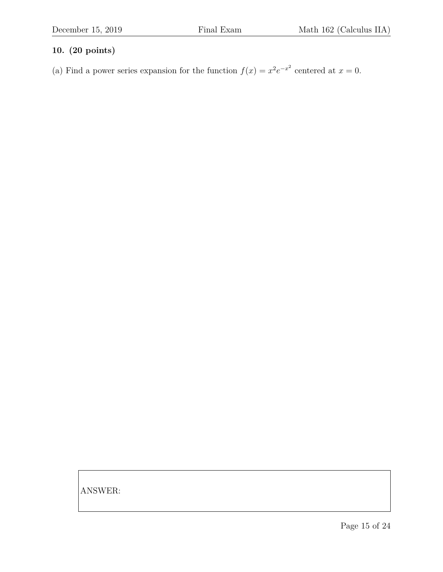(a) Find a power series expansion for the function  $f(x) = x^2 e^{-x^2}$  centered at  $x = 0$ .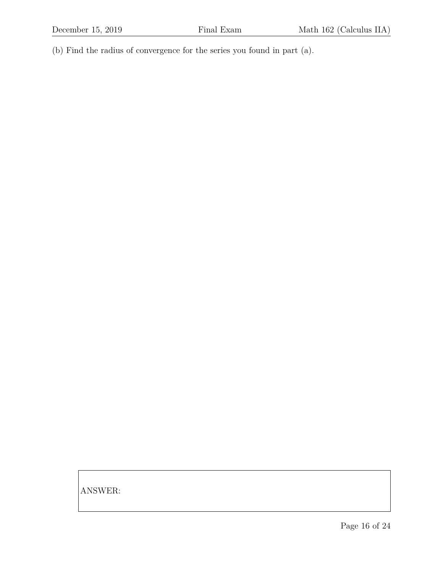(b) Find the radius of convergence for the series you found in part (a).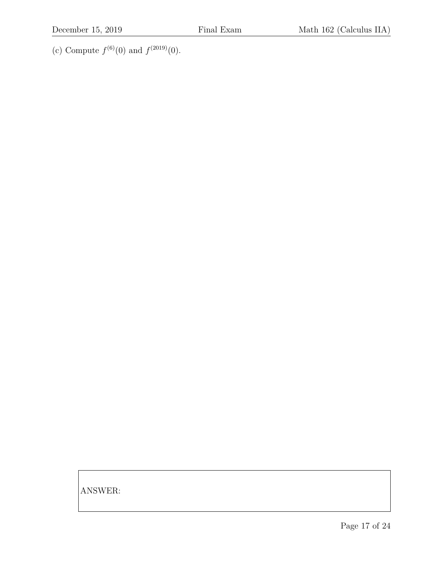(c) Compute  $f^{(6)}(0)$  and  $f^{(2019)}(0)$ .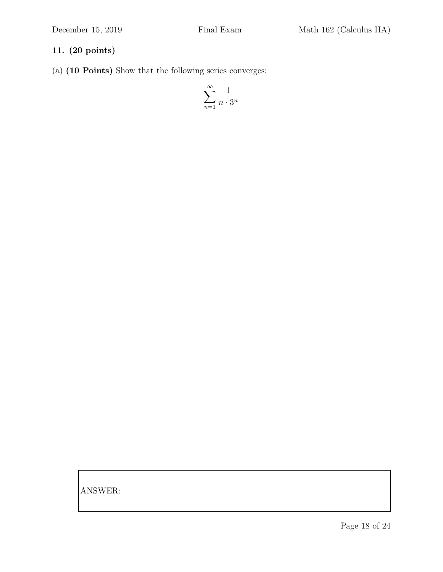(a) **(10 Points)** Show that the following series converges:

$$
\sum_{n=1}^{\infty} \frac{1}{n \cdot 3^n}
$$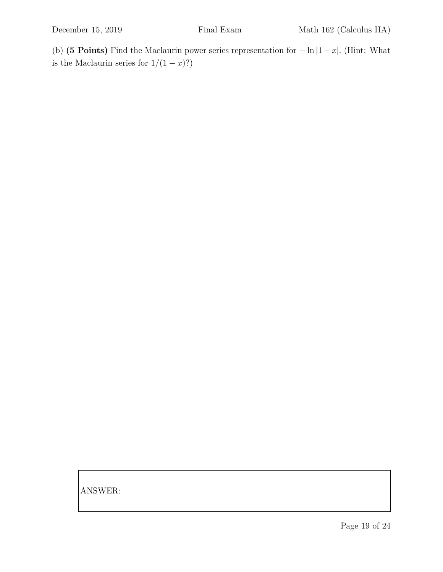(b) **(5 Points)** Find the Maclaurin power series representation for − ln |1 − x|. (Hint: What is the Maclaurin series for  $1/(1-x)$ ?)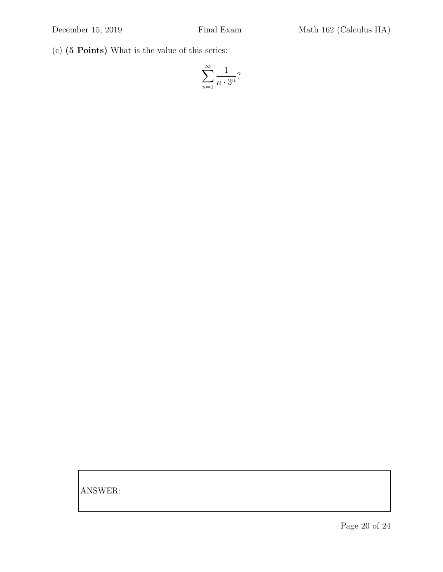(c) **(5 Points)** What is the value of this series:

$$
\sum_{n=1}^{\infty} \frac{1}{n \cdot 3^n}
$$
?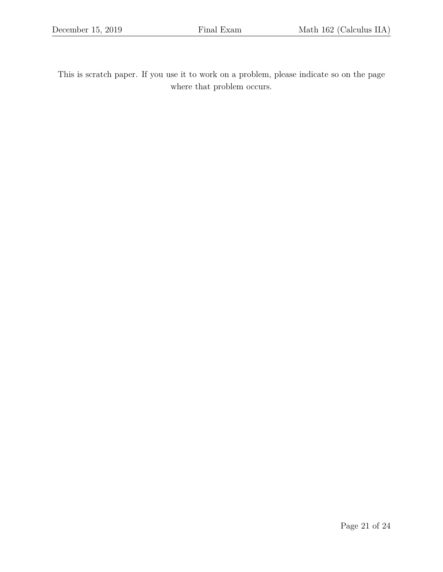This is scratch paper. If you use it to work on a problem, please indicate so on the page where that problem occurs.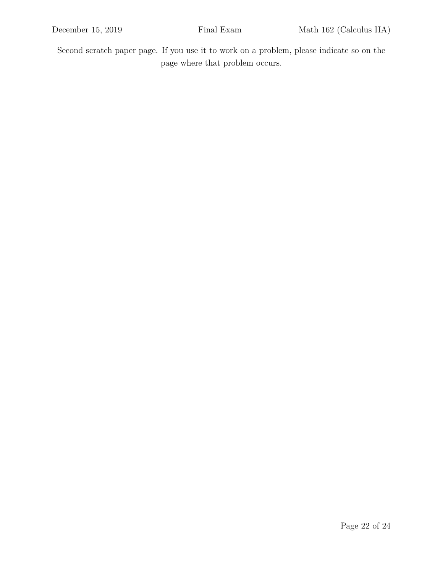Second scratch paper page. If you use it to work on a problem, please indicate so on the page where that problem occurs.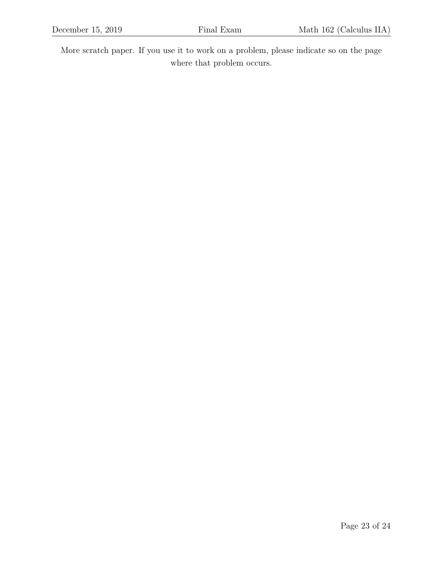More scratch paper. If you use it to work on a problem, please indicate so on the page where that problem occurs.